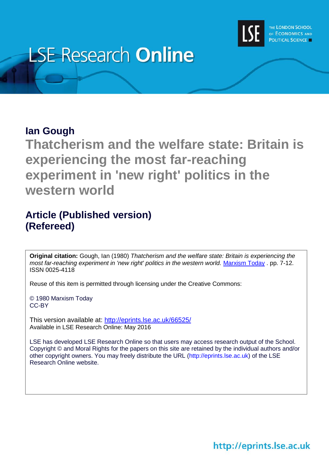

# **LSE Research Online**

# **Ian Gough**

**Thatcherism and the welfare state: Britain is experiencing the most far-reaching experiment in 'new right' politics in the western world**

# **Article (Published version) (Refereed)**

**Original citation:** Gough, Ian (1980) *Thatcherism and the welfare state: Britain is experiencing the most far-reaching experiment in 'new right' politics in the western world.* [Marxism Today](http://banmarchive.org.uk/collections/mt/index_frame.htm) . pp. 7-12. ISSN 0025-4118

Reuse of this item is permitted through licensing under the Creative Commons:

© 1980 Marxism Today CC-BY

This version available at:<http://eprints.lse.ac.uk/66525/> Available in LSE Research Online: May 2016

LSE has developed LSE Research Online so that users may access research output of the School. Copyright © and Moral Rights for the papers on this site are retained by the individual authors and/or other copyright owners. You may freely distribute the URL (http://eprints.lse.ac.uk) of the LSE Research Online website.

http://eprints.lse.ac.uk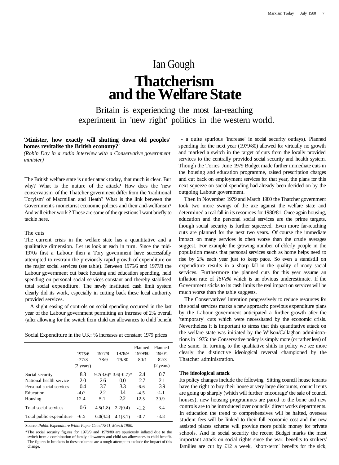# Ian Gough **Thatcherism and the Welfare State**

Britain is experiencing the most far-reaching experiment in 'new right' politics in the western world.

#### **'Minister, how exactly will shutting down old peoples' homes revitalise the British economy?'**

*(Robin Day in a radio interview with a Conservative government minister)*

The British welfare state is under attack today, that much is clear. But why? What is the nature of the attack? How does the 'new conservatism' of the Thatcher government differ from the 'traditional Toryism' of Macmillan and Heath? What is the link between the Government's monetarist economic policies and their and-welfarism? And will either work ? These are some of the questions I want briefly to tackle here.

#### The cuts

The current crisis in the welfare state has a quantitative and a qualitative dimension. Let us look at each in turn. Since the mid-1970s first a Labour then a Tory government have successfully attempted to restrain the previously rapid growth of expenditure on the major social services (see table). Between 1975/6 and 1977/8 the Labour government cut back housing and education spending, held spending on personal social services constant and thereby stabilised total social expenditure. The newly instituted cash limit system clearly did its work, especially in cutting back these local authority provided services.

A slight easing of controls on social spending occurred in the last year of the Labour government permitting an increase of 2% overall (after allowing for the switch from child tax allowances to child benefit

Social Expenditure in the UK: % increases at constant 1979 prices

| 1975/6<br>$-77/8$<br>$(2 \text{ years})$ | 1977/8<br>$-78/9$ | 1978/9<br>$-79/80$ | Planned<br>1979/80<br>$-80/1$ | Planned<br>1980/1<br>$-82/3$<br>$(2 \text{ years})$ |
|------------------------------------------|-------------------|--------------------|-------------------------------|-----------------------------------------------------|
| 8.3                                      |                   |                    | 2.4                           | 0.7                                                 |
| 2.0                                      | 2.6               | 0.0                | 2.7                           | 2.1                                                 |
| 0.4                                      | 3.7               | 3.3                | $-6.6$                        | 3.9                                                 |
| $-4.0$                                   | 2.2               | 14                 | $-4.5$                        | $-4.1$                                              |
| $-12.4$                                  | $-5.1$            | 2.2                | $-12.5$                       | $-30.9$                                             |
| 0.6                                      | 4.5(1.8)          | 2.2(0.4)           | $-1.2$                        | $-3.4$                                              |
| $-6.5$                                   | 6.0(4.5)          | 4.1(3.1)           | $-0.7$                        | $-3.8$                                              |
|                                          |                   |                    | $9.7(3.6)^*$ 3.6(-0.7)*       |                                                     |

Source: *Public Expenditure White Paper Cmnd 7841, March 1980.*

\*The social security figures for 1978/9 and 1979/80 are spuriously inflated due to the switch from a combination of family allowances and child tax allowances to child benefit. The figures in brackets in these columns are a rough attempt to exclude the impact of this change.

- a quite spurious 'increase' in social security outlays). Planned spending for the next year (1979/80) allowed for virtually no growth and marked a switch in the target of cuts from the locally provided services to the centrally provided social security and health system. Though the Tories' June 1979 Budget made further immediate cuts in the housing and education programme, raised prescription charges and cut back on employment services for that year, the plans for this next squeeze on social spending had already been decided on by the outgoing Labour government.

Then in November 1979 and March 1980 the Thatcher government took two more swings of the axe against the welfare state and determined a real fall in its resources for 1980/81. Once again housing, education and the personal social services are the prime targets, though social security is further squeezed. Even more far-reaching cuts are planned for the next two years. Of course the immediate impact on many services is often worse than the crude averages suggest. For example the growing number of elderly people in the population means that personal services such as home helps need to rise by 2% each year just to keep pace. So even a standstill on expenditure results in a sharp fall in the quality of many social services. Furthermore the planned cuts for this year assume an inflation rate of *}6Vz%* which is an obvious underestimate. If the Government sticks to its cash limits the real impact on services will be much worse than the table suggests.

The Conservatives' intention progressively to reduce resources for the social services marks a new approach: previous expenditure plans by the Labour government anticipated a further growth after the 'temporary' cuts which were necessitated by the economic crisis. Nevertheless it is important to stress that this quantitative attack on the welfare state was initiated by the Wilson/Callaghan administrations in 1975: the Conservative policy is simply more (or rather less) of the same. In turning to the qualitative shifts in policy we see more clearly the distinctive ideological reversal championed by the Thatcher administration.

#### **The ideological attack**

Its policy changes include the following. Sitting council house tenants have the right to buy their house at very large discounts, council rents are going up sharply (which will further 'encourage' the sale of council houses), new housing programmes are pared to the bone and new controls are to be introduced over councils' direct works departments. In education the trend to comprehensives will be halted, overseas student fees will be linked to their full economic cost and the new assisted places scheme will provide more public money for private schools. And in social security the recent Budget marks the most important attack on social rights since the war: benefits to strikers' families are cut by £12 a week, 'short-term' benefits for the sick,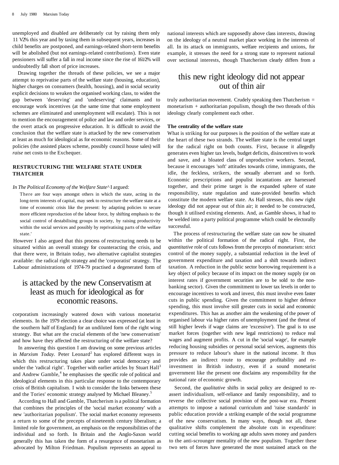unemployed and disabled are deliberately cut by raising them only 11 V2% this year and by taxing them in subsequent years, increases in child benefits are postponed, and earnings-related short-term benefits will be abolished (but not earnings-related contributions). Even state pensioners will suffer a fall in real income since the rise of 161/2% will undoubtedly fall short of price increases.

Drawing together the threads of these policies, we see a major attempt to reprivatise parts of the welfare state (housing, education), higher charges on consumers (health, housing), and in social security explicit decisions to weaken the organised working class, to widen the gap between 'deserving' and 'undeserving' claimants and to encourage work incentives (at the same time that some employment schemes are eliminated and unemployment will escalate). This is not to mention the encouragement of police and law and order services, or the overt attack on progressive education. It is difficult to avoid the conclusion that the welfare state is attacked by the new conservatism at least as much for ideological as for economic reasons. Some of their policies (the assisted places scheme, possibly council house sales) will *raise* net costs to the Exchequer.

#### **RESTRUCTURING THE WELFARE STATE UNDER THATCHER**

#### *In The Political Economy of the Welfare State^* I argued:

There are four ways amongst others in which the state, acting in the long-term interests of capital, may seek to restructure the welfare state at a time of economic crisis like the present: by adapting policies to secure more efficient reproduction of the labour force, by shifting emphasis to the social control of destabilising groups in society, by raising productivity within the social services and possibly by reprivatising parts of the welfare state.'

However I also argued that this process of restructuring needs to be situated within an overall strategy for counteracting the crisis, and that there were, in Britain today, two alternative capitalist strategies available: the radical right strategy and the 'corporatist' strategy. The Labour administrations of 1974-79 practised a degenerated form of

## is attacked by the new Conservatism at least as much for ideological as for economic reasons.

corporatism increasingly watered down with various monetarist elements. In the 1979 election a clear choice was expressed (at least in the southern half of England) for an undiluted form of the right wing strategy. But what are the crucial elements of the 'new conservatism' and how have they affected the restructuring of the welfare state?

In answering this question I am drawing on some previous articles in Marxism Today. Peter Leonard<sup>2</sup> has explored different ways in which this restructuring takes place under social democracy and under the 'radical right'. Together with earlier articles by Stuart Hall<sup>3</sup> and Andrew Gamble,<sup>4</sup> he emphasises the specific role of political and ideological elements in this particular response to the contemporary crisis of British capitalism. I wish to consider the links between these and the Tories' economic strategy analysed by Michael Bleaney.<sup>5</sup>

According to Hall and Gamble, Thatcherism is a political formation that combines the principles of the 'social market economy' with a new 'authoritarian populism'. The social market economy represents a return to some of the precepts of nineteenth century liberalism; a limited role for government, an emphasis on the responsibilities of the individual and so forth. In Britain and the Anglo-Saxon world generally this has taken the form of a resurgence of monetarism as advocated by Milton Friedman. Populism represents an appeal to national interests which are supposedly above class interests, drawing on the ideology of a neutral market place working in the interests of all. In its attack on immigrants, welfare recipients and unions, for example, it stresses the need for a strong state to represent national over sectional interests, though Thatcherism clearly differs from a

# this new right ideology did not appear out of thin air

truly authoritarian movement. Crudely speaking then Thatcherism  $=$ monetarism + authoritarian populism, though the two threads of this ideology clearly complement each other.

#### **The centrality of the welfare state**

What is striking for our purposes is the position of the welfare state at the heart of these two strands. The welfare state is the central target for the radical right on both counts. First, because it allegedly generates even higher tax levels, budget deficits, disincentives to work and save, and a bloated class of unproductive workers. Second, because it encourages 'soft' attitudes towards crime, immigrants, the idle, the feckless, strikers, the sexually aberrant and so forth. Economic prescriptions and populist incantations are harnessed together, and their prime target is the expanded sphere of state responsibility, state regulation and state-provided benefits which constitute the modern welfare state. As Hall stresses, this new right ideology did not appear out of thin air; it needed to be constructed, though it utilised existing elements. And, as Gamble shows, it had to be welded into a party political programme which could be electorally successful.

The process of restructuring the welfare state can now be situated within the political formation of the radical right. First, the *quantitative* role of cuts follows from the precepts of monetarism: strict control of the money supply, a substantial reduction in the level of government expenditure and taxation and a shift towards indirect taxation. A reduction in the public sector borrowing requirement is a key object of policy because of its impact on the money supply (or on interest rates if government securities are to be sold to the nonbanking sector). Given the commitment to lower tax levels in order to encourage incentives to work and invest, this must involve even faster cuts in public spending. Given the commitment to higher defence spending, this must involve still greater cuts in social and economic expenditures. This has as another aim the weakening of the power of organised labour via higher rates of unemployment (and the threat of still higher levels if wage claims are 'excessive'). The goal is to use market forces (together with new legal restrictions) to reduce real wages and augment profits. A cut in the 'social wage', for example reducing housing subsidies or personal social services, augments this pressure to reduce labour's share in the national income. It thus provides an indirect route to encourage profitability and reinvestment in British industry, even if a sound monetarist government like the present one disclaims any responsibility for the national rate of economic growth.

Second, the *qualitative* shifts in social policy are designed to reassert individualism, self-reliance and family responsibility, and to reverse the collective social provision of the post-war era. Present attempts to impose a national curriculum and 'raise standards' in public education provide a striking example of the social programme of the new conservatism. In many ways, though not all, these qualitative shifts complement the absolute cuts in expenditure: cutting social benefits to working age adults saves money and panders to the anti-scrounger mentality of the new populism. Together these two sets of forces have generated the most sustained attack on the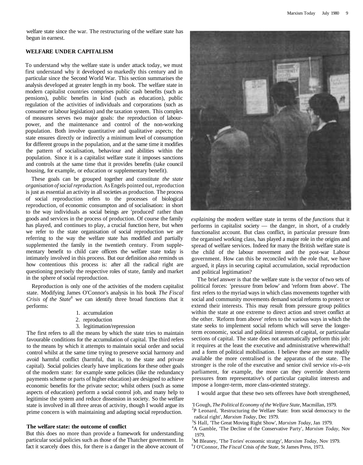welfare state since the war. The restructuring of the welfare state has begun in earnest.

#### **WELFARE UNDER CAPITALISM**

To understand why the welfare state is under attack today, we must first understand why it developed so markedly this century and in particular since the Second World War. This section summarises the analysis developed at greater length in my book. The welfare state in modern capitalist countries comprises public cash benefits (such as pensions), public benefits in kind (such as education), public regulation of the activities of individuals and corporations (such as consumer or labour legislation) and the taxation system. This complex of measures serves two major goals: the reproduction of labourpower, and the maintenance and control of the non-working population. Both involve quantitative and qualitative aspects; the state ensures directly or indirectly a minimum level of consumption for different groups in the population, and at the same time it modifies the pattern of socialisation, behaviour and abilities within the population. Since it is a capitalist welfare state it imposes sanctions and controls at the same time that it provides benefits (take council housing, for example, or education or supplementary benefit).

These goals can be grouped together and constitute *the state organisation of social reproduction.* As Engels pointed out, reproduction is just as essential an activity in all societies as production. The process of social reproduction refers to the processes of biological reproduction, of economic consumpton and of socialisation: in short to the way individuals as social beings are 'produced' rather than goods and services in the process of production. Of course the family has played, and continues to play, a crucial function here, but when we refer to the state organisation of social reproduction we are referring to the way the welfare state has modified and partially supplemented the family in the twentieth century. From supplementary benefit to child care officers the welfare state today is intimately involved in this process. But our definition also reminds us how contentious this process is: after all the radical right are questioning precisely the respective roles of state, family and market in the sphere of social reproduction.

Reproduction is only one of the activities of the modern capitalist state. Modifying James O'Connor's analysis in his book *The Fiscal Crisis of the State<sup>6</sup>* we can identify three broad functions that it performs:

- 1. accumulation
- 2. reproduction
- 3. legitimation/repression

The first refers to all the means by which the state tries to maintain favourable conditions for the accumulation of capital. The third refers to the means by which it attempts to maintain social order and social control whilst at the same time trying to preserve social harmony and avoid harmful conflict (harmful, that is, to the state and private capital). Social policies clearly have implications for these other goals of the modern state: for example some policies (like the redundancy payments scheme or parts of higher education) are designed to achieve economic benefits for the private sector; whilst others (such as some aspects of education) perform a social control job, and many help to legitimise the system and reduce dissension in society. So the welfare state is involved in all three areas of activity, though I would argue its prime concern is with maintaining and adapting social reproduction.

#### **The welfare state: the outcome of conflict**

But this does no more than provide a framework for understanding particular social policies such as those of the Thatcher government. In fact it scarcely does this, for there is a danger in the above account of



*explaining* the modern welfare state in terms of the *functions* that it performs in capitalist society — the danger, in short, of a crudely functionalist account. But class conflict, in particular pressure from the organised working class, has played a major role in the origins and spread of welfare services. Indeed for many the British welfare state is the child of the labour movement and the post-war Labour government. How can this be reconciled with the role that, we have argued, it plays in securing capital accumulation, social reproduction and political legitimation?

The brief answer is that the welfare state is the vector of two sets of political forces: 'pressure from below' and 'reform from above'. The first refers to the myriad ways in which class movements together with social and community movements demand social reforms to protect or extend their interests. This may result from pressure group politics within the state at one extreme to direct action and street conflict at the other. 'Reform from above' refers to the various ways in which the state seeks to implement social reform which will serve the longerterm economic, social and political interests of capital, or particualar sections of capital. The state does not automatically perform this job: it requires at the least the executive and administrative wherewithal! and a form of political mobilisation. I believe these are more readily available the more centralised is the apparatus of the state. The stronger is the role of the executive and senior civil service *vis-a-vis* parliament, for example, the more can they override short-term pressures from representative's of particular capitalist interests and impose a longer-term, more class-oriented strategy.

I would argue that these two sets offerees have *both* strengthened,

- <sup>4</sup>A Gamble, 'The Decline of the Conservative Party', *Marxism Today,* Nov 1979.
- <sup>5</sup>M Bleaney, 'The Tories' economic stratgy', *Marxism Today,* Nov 1979.
- 6 J O'Connor, *The Fiscal* Crisis *of the State,* St James Press, 1973.

<sup>&#</sup>x27;I Gough, *The Political Economy of the Welfare State,* Macmillan, 1979.

<sup>&</sup>lt;sup>2</sup>P Leonard, 'Restructuring the Welfare State: from social democracy to the radical right', *Marxism Today,* Dec 1979.

<sup>3</sup> S Hall, 'The Great Moving Right Show', *Marxism Today,* Jan 1979.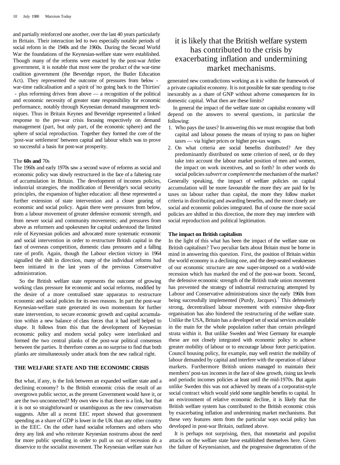and partially reinforced one another, over the last 40 years particularly in Britain. Their interaction led to two especially notable periods of social reform in the 1940s and the 1960s. During the Second World War the foundations of the Keynesian-welfare state were established. Though many of the reforms were enacted by the post-war Attlee government, it is notable that most were the product of the war-time coalition government (the Beveridge report, the Butler Education Act). They represented the outcome of pressures from below war-time radicalisation and a spirit of 'no going back to the Thirties' - plus reforming drives from above — a recognition of the political and economic necessity of greater state responsibility for economic performance, notably through Keynesian demand management techniques. Thus in Britain Keynes and Beveridge represented a linked response to the pre-war crisis focusing respectively on demand management (part, but only part, of the economic sphere) and the sphere of social reproduction. Together they formed the core of the 'post-war settlement' between capital and labour which was to prove so successful a basis for post-war prosperity.

#### The **60s and** 70s

The 1960s and early 1970s saw a second wave of reforms as social and economic policy was slowly restructured in the face of a faltering rate of accumulation in Britain. The development of incomes policies, industrial strategies, the modification of Beveridge's social security principles, the expansion of higher education: all these represented a further extension of state intervention and a closer gearing of economic and social policy. Again there were pressures from below, from a labour movement of greater defensive economic strength, and from newer social and community movements; and pressures from above as reformers and spokesmen for capital understood the limited role of Keynesian policies and advocated more systematic economic and social intervention in order to restructure British capital in the face of overseas competition, domestic class pressures and a falling rate of profit. Again, though the Labour election victory in 1964 signalled the shift in direction, many of the individual reforms had been initiated in the last years of the previous Conservative administration.

So the British welfare state represents the outcome of growing working class pressure for economic and social reforms, modified by the desire of a more centralised state apparatus to restructure economic and social policies for its own reasons. In part the post-war Keynesian-welfare state generated its own momentum for further state intervention, to secure economic growth and capital accumulation within a new balance of class forces that it had itself helped to shape. It follows from this that the development of Keynesian economic policy and modern social policy were interlinked and formed the two central planks of the post-war political consensus between the parties. It therefore comes as no surprise to find that both planks are simultaneously under attack from the new radical right.

#### **THE WELFARE STATE AND THE ECONOMIC CRISIS**

But what, if any, is the link between an expanded welfare state and a declining economy? Is the British economic crisis the result of an overgrown public sector, as the present Government would have it, or are the two unconnected? My own view is that there is a link, but that it is not so straightforward or unambiguous as the new conservatism suggests. After all a recent EEC report showed that government spending as a share of GDP is lower in the UK than any other country in the EEC. On the other hand socialist reformers and others who deny any link and who reiterate Keynesian nostrums about the need for more public spending in order to pull us out of recession do a disservice to the socialist movement. The Keynesian welfare state *has*

# it is likely that the British welfare system has contributed to the crisis by exacerbating inflation and undermining market mechanisms.

generated new contradictions working as it is within the framework of a private capitalist economy. It is not possible for state spending to rise inexorably as a share of GNP without adverse consequences for its domestic capital. What then are these limits?

In general the impact of the welfare state on capitalist economy will depend on the answers to several questions, in particular the following:

- 1. Who pays the taxes? In answering this we must recognise that both capital and labour possess the means of trying to pass on higher taxes — via higher prices or higher pre-tax wages.
- 2. On what criteria are social benefits distributed? Are they predominantly distributed on some criterion of need, or do they take into account the labour market position of men and women, the impact on work incentives, and so forth? In other words do social policies *subvert* or *complement* the mechanism of the market?

Generally speaking, the impact of welfare policies on capital accumulation will be more favourable the more they are paid for by taxes on labour rather than capital, the more they follow market criteria in distributing and awarding benefits, and the more closely are social and economic policies integrated. But of course the more social policies are shifted in this direction, the more they may interfere with social reproduction and political legitimation.

#### **The impact on British capitalism**

In the light of this what has been the impact of the welfare state on British capitalism? Two peculiar facts about Britain must be borne in mind in answering this question. First, the position of Britain within the world economy is a declining one, and the deep-seated weaknesses of our economic structure are now super-imposed on a world-wide recession which has marked the end of the post-war boom. Second, the defensive economic strength of the British trade union movement has prevented the strategy of industrial restructuring attempted by Labour and Conservative administrations since the early 1960s from being successfully implemented (Purdy, Jacques).<sup>7</sup> This defensively strong, decentralised labour movement with extensive shop-floor organisation has also hindered the restructuring of the welfare state. Unlike the USA, Britain has a developed set of social services available in the main for the whole population rather than certain privileged strata within it. But unlike Sweden and West Germany for example these are not closely integrated with economic policy to achieve greater mobility of labour or to encourage labour force participation. Council housing policy, for example, may well restrict the mobility of labour demanded by capital and interfere with the operation of labour markets. Furthermore British unions managed to maintain their members' post-tax incomes in the face of slow growth, rising tax levels and periodic incomes policies at least until the mid-1970s. But again unlike Sweden this was not achieved by means of a corporatist-style social contract which would yield some tangible benefits to capital. In an environment of relative economic decline, it is likely that the British welfare system has contributed to the British economic crisis by exacerbating inflation and undermining market mechanisms. But these very features stem from the particular ways social policy has developed in post-war Britain, outlined above.

It is perhaps not surprising, then, that monetarist and populist attacks on the welfare state have established themselves here. Given the failure of Keynesianism, and the progressive degeneration of the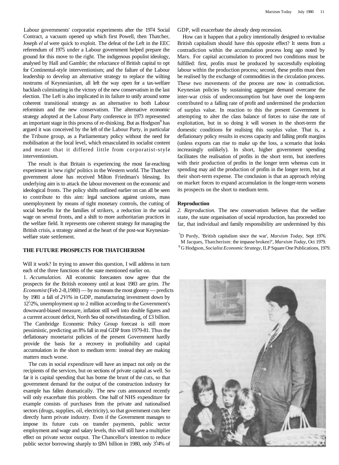Labour governments' corporatist experiments after the 1974 Social Contract, a vacuum opened up which first Powell, then Thatcher, Joseph *el al* were quick to exploit. The defeat of the Left in the EEC referendum of 1975 under a Labour government helped prepare the ground for this move to the right. The indigenous populist ideology, analysed by Hall and Gamble; the reluctance of British capital to opt for Continental-style interventionism; and the failure of the Labour leadership to develop an alternative strategy to replace the wilting nostrums of Keynesianism, all left the way open for a tax-welfare backlash culminating in the victory of the new conservatism in the last election. The Left is also implicated in its failure to unify around some coherent transitional strategy as an alternative to both Labour reformism and the new conservatism. The alternative economic strategy adopted at the Labour Party conference in 1973 represented an important stage in this process of re-thinking. But as Hodgson<sup>8</sup> has argued it was conceived by the left of the Labour Party, in particular the Tribune group, as a Parliamentary policy without the need for mobilisation at the local level, which emasculated its socialist content and meant that it differed little from corporatist-style interventionism.

The result is that Britain is experiencing the most far-reaching experiment in 'new right' politics in the Western world. The Thatcher government alone has received Milton Friedman's blessing. Its underlying aim is to attack the labour movement on the economic and ideological fronts. The policy shifts outlined earlier on can all be seen to contribute to this aim: legal sanctions against unions, mass unemployment by means of tight monetary controls, the cutting of social benefits for the families of strikers, a reduction in the social wage on several fronts, and a shift to more authoritarian practices in the welfare field. It represents one coherent strategy for managing the British crisis, a strategy aimed at the heart of the post-war Keynesianwelfare state settlement.

#### **THE FUTURE PROSPECTS FOR THATCHERISM**

Will it work? In trying to answer this question, I will address in turn each of the three functions of the state mentioned earlier on.

1. *Accumulation.* All economic forecasters now agree that the prospects for the British economy until at least 1983 are grim. *The Economist* (Feb 2-8,1980) — by no means the most gloomy — predicts by 1981 a fall of *2Vi%* in GDP, manufacturing investment down by 121 /2%, unemployment up to 2 million according to the Government's downward-biased measure, inflation still well into double figures and a current account deficit, North Sea oil notwithstanding, of £3 billion. The Cambridge Economic Policy Group forecast is still more pessimistic, predicting an 8% fall in real GDP from 1979-81. Thus the deflationary monetarist policies of the present Government hardly provide the basis for a recovery in profitability and capital accumulation in the short to medium term: instead they are making matters much worse.

The cuts in social expenditure will have an impact not only on the recipients of the services, but on sections of private capital as well. So far it is capital spending that has borne the brunt of the cuts, so that government demand for the output of the construction industry for example has fallen dramatically. The new cuts announced recently will only exacerbate this problem. One half of NHS expenditure for example consists of purchases from the private and nationalised sectors (drugs, supplies, oil, electricity), so that government cuts here directly harm private industry. Even if the Government manages to impose its future cuts on transfer payments, public sector employment and wage and salary levels, this will still have a multiplier effect on private sector output. The Chancellor's intention to reduce public sector borrowing sharply to £8Vi billion in 1980, only  $3^3/4\%$  of

GDP, will exacerbate the already deep recession.

How can it happen that a policy intentionally designed to revitalise British capitalism should have this opposite effect? It stems from a contradiction within the accumulation process long ago noted by Marx. For capital accumulation to proceed two conditions must be fulfilled: first, profits must be produced by successfully exploiting labour within the production process; second, these profits must then be realised by the exchange of commodities in the circulation process. These two movements of the process are now in contradiction. Keynesian policies by sustaining aggregate demand overcame the inter-war crisis of underconsumption but have over the long-term contributed to a falling rate of profit and undermined the production of surplus value. In reaction to this the present Government is attempting to alter the class balance of forces to raise the rate of exploitation, but in so doing it will worsen in the short-term the domestic conditions for realising this surplus value. That is, a deflationary policy results in excess capacity and falling profit margins (unless exports can rise to make up the loss, a scenario that looks increasingly unlikely). In short, higher government spending facilitates the realisation of profits in the short term, but interferes with their production of profits in the longer term whereas cuts in spending may aid the production of profits in the longer term, but at their short-term expense. The conclusion is that an approach relying on market forces to expand accumulation in the longer-term worsens its prospects on the short to medium term.

#### **Reproduction**

*2. Reproduction.* The new conservatism believes that the welfare state, the state organisation of social reproduction, has proceeded too far, that individual and family responsibility are undermined by this

<sup>7</sup>D Purdy, 'British capitalism since the war', *Marxism Today,* Sept 1976. M Jacques, Thatcherism: the impasse broken?', *Marxism Today,* Oct 1979. 8 G Hodgson, *Socialist Economic Strategy,* ILP Square One Publications, 1979.